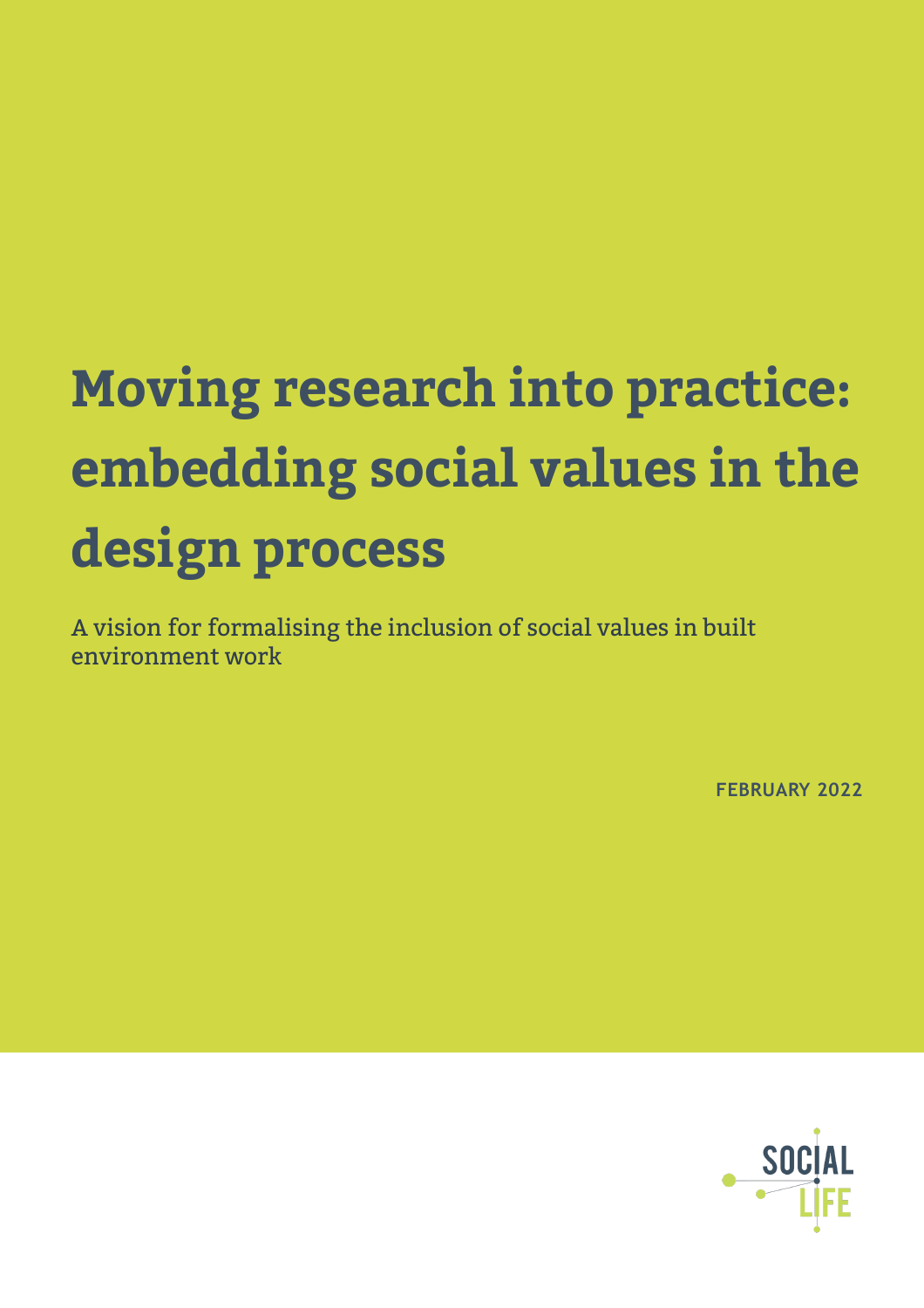# **Moving research into practice: embedding social values in the design process**

A vision for formalising the inclusion of social values in built environment work

**FEBRUARY 2022**

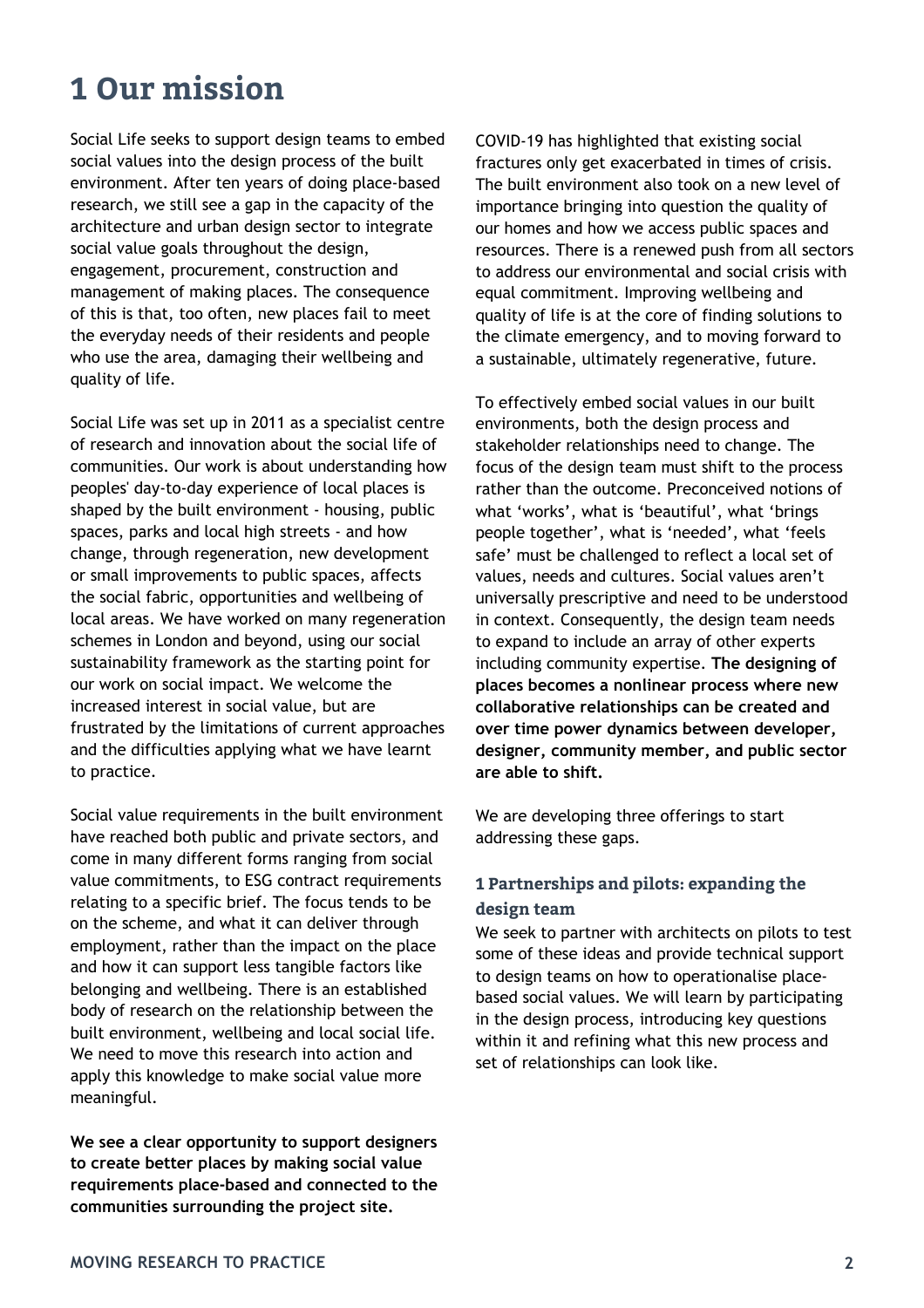# **1 Our mission**

Social Life seeks to support design teams to embed social values into the design process of the built environment. After ten years of doing place-based research, we still see a gap in the capacity of the architecture and urban design sector to integrate social value goals throughout the design, engagement, procurement, construction and management of making places. The consequence of this is that, too often, new places fail to meet the everyday needs of their residents and people who use the area, damaging their wellbeing and quality of life.

Social Life was set up in 2011 as a specialist centre of research and innovation about the social life of communities. Our work is about understanding how peoples' day-to-day experience of local places is shaped by the built environment - housing, public spaces, parks and local high streets - and how change, through regeneration, new development or small improvements to public spaces, affects the social fabric, opportunities and wellbeing of local areas. We have worked on many regeneration schemes in London and beyond, using our social sustainability framework as the starting point for our work on social impact. We welcome the increased interest in social value, but are frustrated by the limitations of current approaches and the difficulties applying what we have learnt to practice.

Social value requirements in the built environment have reached both public and private sectors, and come in many different forms ranging from social value commitments, to ESG contract requirements relating to a specific brief. The focus tends to be on the scheme, and what it can deliver through employment, rather than the impact on the place and how it can support less tangible factors like belonging and wellbeing. There is an established body of research on the relationship between the built environment, wellbeing and local social life. We need to move this research into action and apply this knowledge to make social value more meaningful.

**We see a clear opportunity to support designers to create better places by making social value requirements place-based and connected to the communities surrounding the project site.** 

COVID-19 has highlighted that existing social fractures only get exacerbated in times of crisis. The built environment also took on a new level of importance bringing into question the quality of our homes and how we access public spaces and resources. There is a renewed push from all sectors to address our environmental and social crisis with equal commitment. Improving wellbeing and quality of life is at the core of finding solutions to the climate emergency, and to moving forward to a sustainable, ultimately regenerative, future.

To effectively embed social values in our built environments, both the design process and stakeholder relationships need to change. The focus of the design team must shift to the process rather than the outcome. Preconceived notions of what 'works', what is 'beautiful', what 'brings people together', what is 'needed', what 'feels safe' must be challenged to reflect a local set of values, needs and cultures. Social values aren't universally prescriptive and need to be understood in context. Consequently, the design team needs to expand to include an array of other experts including community expertise. **The designing of places becomes a nonlinear process where new collaborative relationships can be created and over time power dynamics between developer, designer, community member, and public sector are able to shift.** 

We are developing three offerings to start addressing these gaps.

### **1 Partnerships and pilots: expanding the design team**

We seek to partner with architects on pilots to test some of these ideas and provide technical support to design teams on how to operationalise placebased social values. We will learn by participating in the design process, introducing key questions within it and refining what this new process and set of relationships can look like.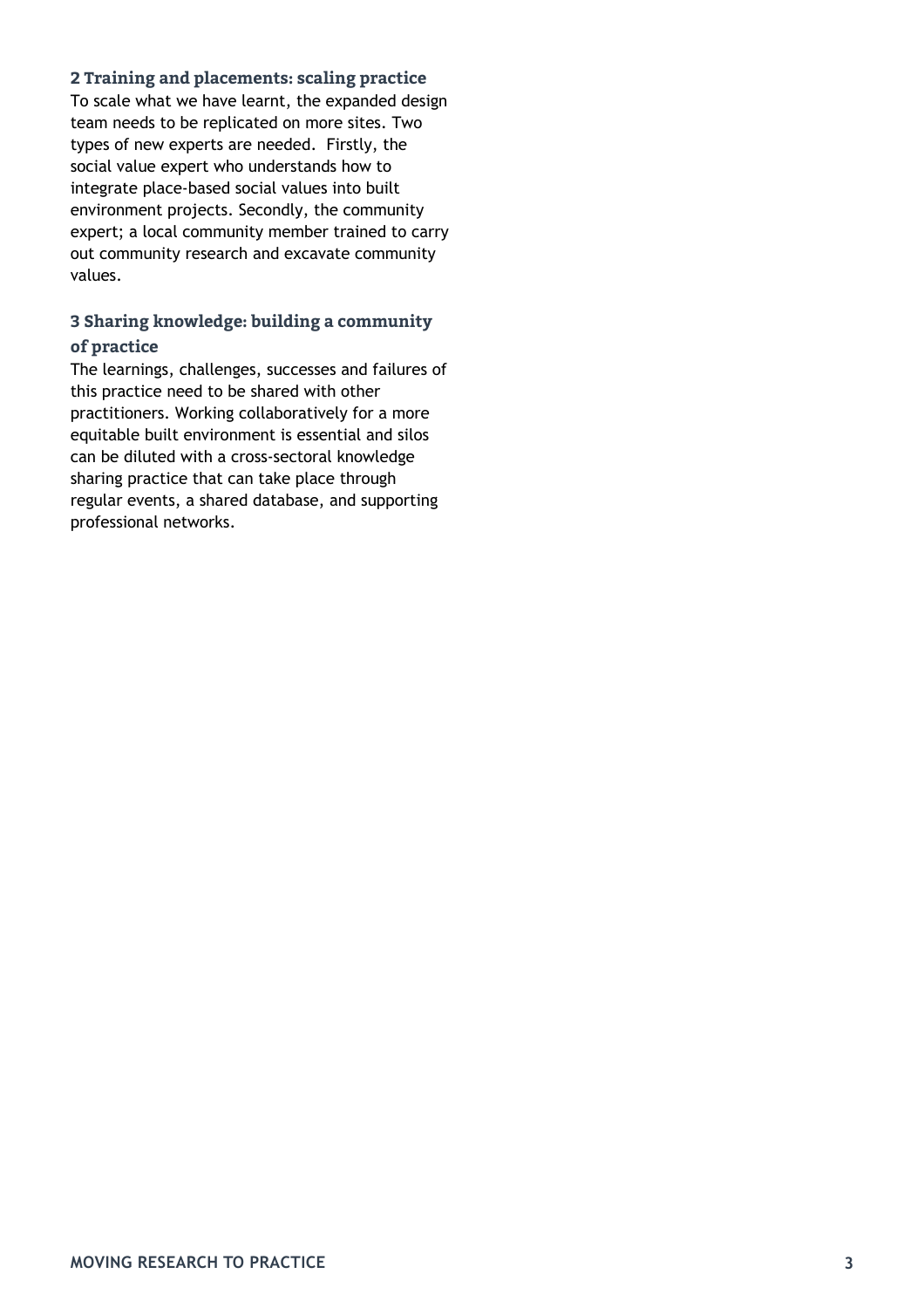### **2 Training and placements: scaling practice**

To scale what we have learnt, the expanded design team needs to be replicated on more sites. Two types of new experts are needed. Firstly, the social value expert who understands how to integrate place-based social values into built environment projects. Secondly, the community expert; a local community member trained to carry out community research and excavate community values.

### **3 Sharing knowledge: building a community of practice**

The learnings, challenges, successes and failures of this practice need to be shared with other practitioners. Working collaboratively for a more equitable built environment is essential and silos can be diluted with a cross-sectoral knowledge sharing practice that can take place through regular events, a shared database, and supporting professional networks.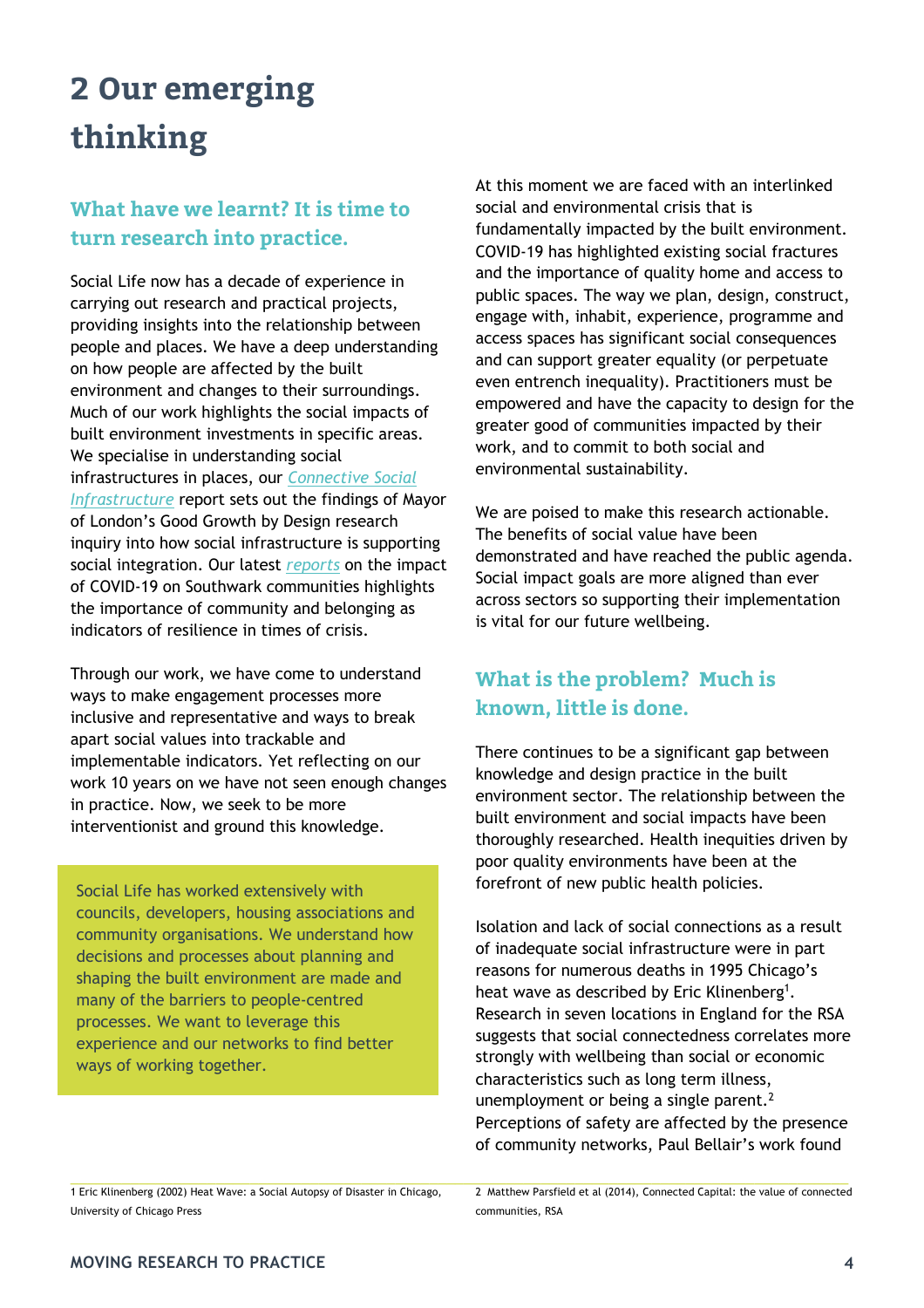# **2 Our emerging thinking**

## **What have we learnt? It is time to turn research into practice.**

Social Life now has a decade of experience in carrying out research and practical projects, providing insights into the relationship between people and places. We have a deep understanding on how people are affected by the built environment and changes to their surroundings. Much of our work highlights the social impacts of built environment investments in specific areas. We specialise in understanding social infrastructures in places, our *Connective Social Infrastructure* report sets out the findings of Mayor of London's Good Growth by Design research inquiry into how social infrastructure is supporting social integration. Our latest *reports* on the impact of COVID-19 on Southwark communities highlights the importance of community and belonging as indicators of resilience in times of crisis.

Through our work, we have come to understand ways to make engagement processes more inclusive and representative and ways to break apart social values into trackable and implementable indicators. Yet reflecting on our work 10 years on we have not seen enough changes in practice. Now, we seek to be more interventionist and ground this knowledge.

Social Life has worked extensively with councils, developers, housing associations and community organisations. We understand how decisions and processes about planning and shaping the built environment are made and many of the barriers to people-centred processes. We want to leverage this experience and our networks to find better ways of working together.

At this moment we are faced with an interlinked social and environmental crisis that is fundamentally impacted by the built environment. COVID-19 has highlighted existing social fractures and the importance of quality home and access to public spaces. The way we plan, design, construct, engage with, inhabit, experience, programme and access spaces has significant social consequences and can support greater equality (or perpetuate even entrench inequality). Practitioners must be empowered and have the capacity to design for the greater good of communities impacted by their work, and to commit to both social and environmental sustainability.

We are poised to make this research actionable. The benefits of social value have been demonstrated and have reached the public agenda. Social impact goals are more aligned than ever across sectors so supporting their implementation is vital for our future wellbeing.

### **What is the problem? Much is known, little is done.**

There continues to be a significant gap between knowledge and design practice in the built environment sector. The relationship between the built environment and social impacts have been thoroughly researched. Health inequities driven by poor quality environments have been at the forefront of new public health policies.

Isolation and lack of social connections as a result of inadequate social infrastructure were in part reasons for numerous deaths in 1995 Chicago's heat wave as described by Eric Klinenberg1*.*  Research in seven locations in England for the RSA suggests that social connectedness correlates more strongly with wellbeing than social or economic characteristics such as long term illness, unemployment or being a single parent.<sup>2</sup> Perceptions of safety are affected by the presence of community networks, Paul Bellair's work found

1 Eric Klinenberg (2002) Heat Wave: a Social Autopsy of Disaster in Chicago, University of Chicago Press

2 Matthew Parsfield et al (2014), Connected Capital: the value of connected communities, RSA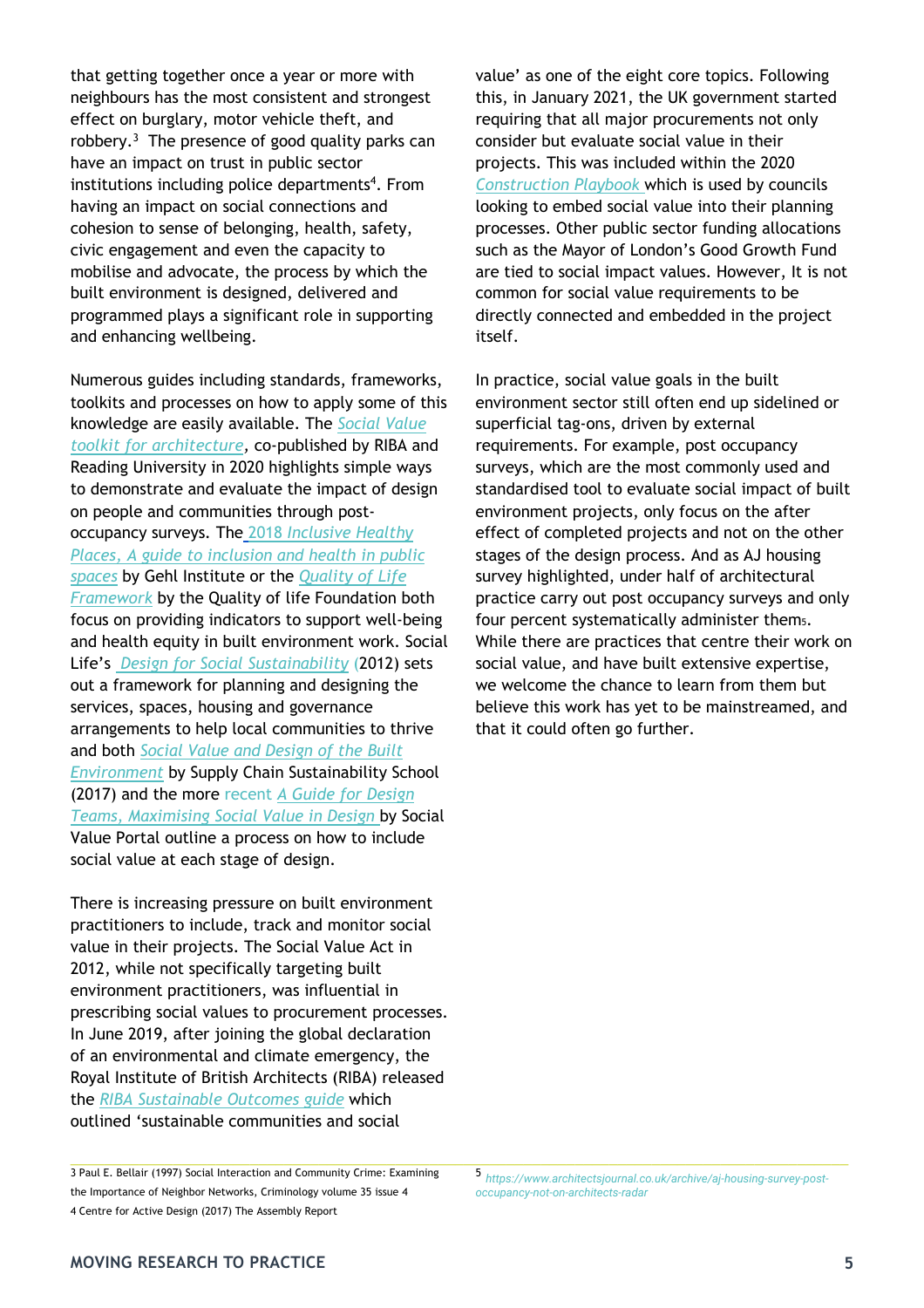that getting together once a year or more with neighbours has the most consistent and strongest effect on burglary, motor vehicle theft, and robbery. $3$  The presence of good quality parks can have an impact on trust in public sector institutions including police departments<sup>4</sup>. From having an impact on social connections and cohesion to sense of belonging, health, safety, civic engagement and even the capacity to mobilise and advocate, the process by which the built environment is designed, delivered and programmed plays a significant role in supporting and enhancing wellbeing.

Numerous guides including standards, frameworks, toolkits and processes on how to apply some of this knowledge are easily available. The *Social Value toolkit for architecture,* co-published by RIBA and Reading University in 2020 highlights simple ways to demonstrate and evaluate the impact of design on people and communities through postoccupancy surveys*.* The 2018 *Inclusive Healthy Places, A guide to inclusion and health in public spaces* by Gehl Institute or the *Quality of Life Framework* by the Quality of life Foundation both focus on providing indicators to support well-being and health equity in built environment work. Social Life's *Design for Social Sustainability* (2012) sets out a framework for planning and designing the services, spaces, housing and governance arrangements to help local communities to thrive and both *Social Value and Design of the Built Environment* by Supply Chain Sustainability School (2017) and the more recent *A Guide for Design Teams, Maximising Social Value in Design* by Social Value Portal outline a process on how to include social value at each stage of design.

There is increasing pressure on built environment practitioners to include, track and monitor social value in their projects. The Social Value Act in 2012, while not specifically targeting built environment practitioners, was influential in prescribing social values to procurement processes. In June 2019, after joining the global declaration of an environmental and climate emergency, the Royal Institute of British Architects (RIBA) released the *RIBA Sustainable Outcomes guide* which outlined 'sustainable communities and social

3 Paul E. Bellair (1997) Social Interaction and Community Crime: Examining the Importance of Neighbor Networks, Criminology volume 35 issue 4

value' as one of the eight core topics. Following this, in January 2021, the UK government started requiring that all major procurements not only consider but evaluate social value in their projects. This was included within the 2020 *Construction Playbook* which is used by councils looking to embed social value into their planning processes. Other public sector funding allocations such as the Mayor of London's Good Growth Fund are tied to social impact values. However, It is not common for social value requirements to be directly connected and embedded in the project itself.

In practice, social value goals in the built environment sector still often end up sidelined or superficial tag-ons, driven by external requirements. For example, post occupancy surveys, which are the most commonly used and standardised tool to evaluate social impact of built environment projects, only focus on the after effect of completed projects and not on the other stages of the design process. And as AJ housing survey highlighted, under half of architectural practice carry out post occupancy surveys and only four percent systematically administer them5. While there are practices that centre their work on social value, and have built extensive expertise, we welcome the chance to learn from them but believe this work has yet to be mainstreamed, and that it could often go further.

<sup>5</sup> *https://www.architectsjournal.co.uk/archive/aj-housing-survey-postoccupancy-not-on-architects-radar*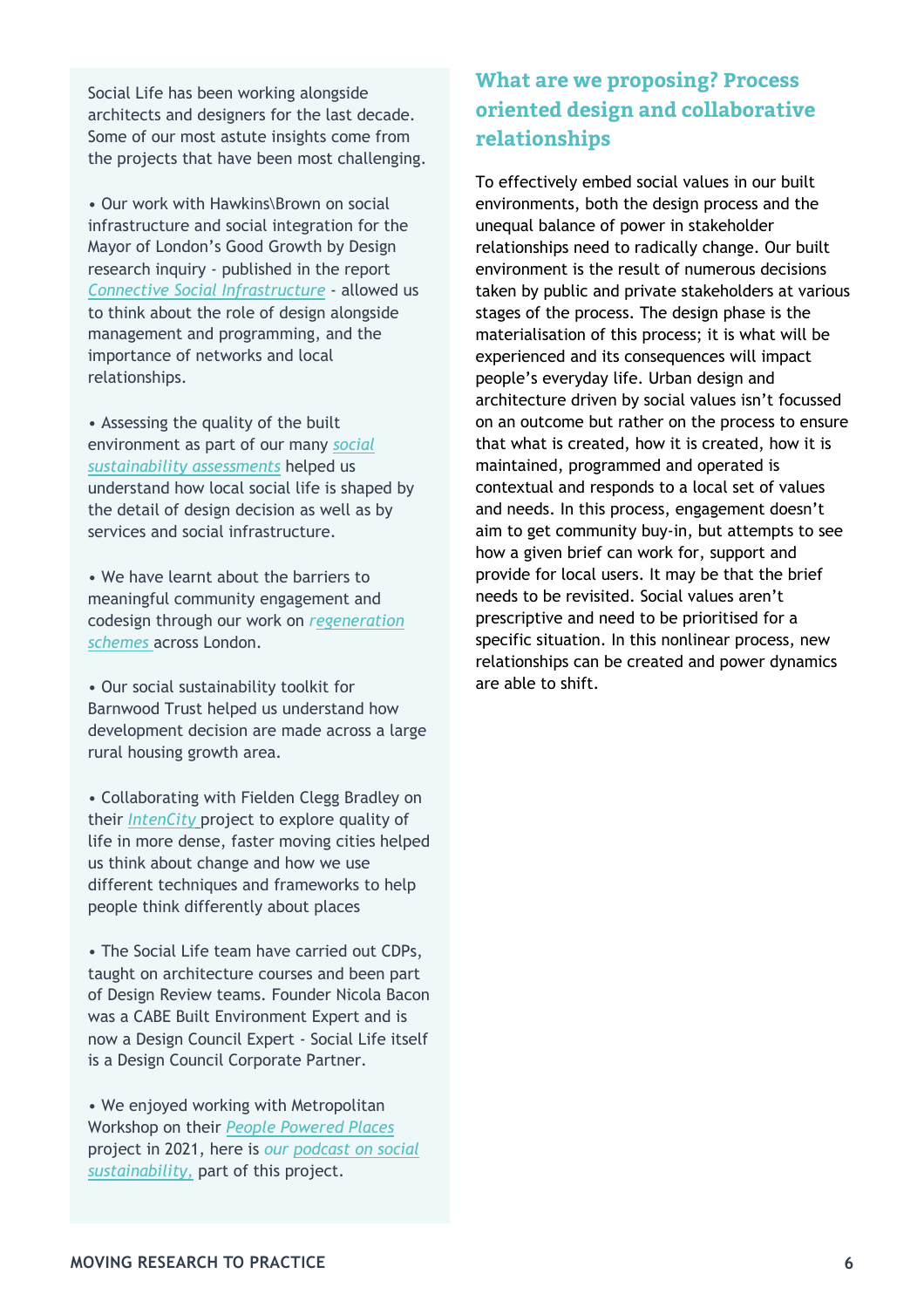Social Life has been working alongside architects and designers for the last decade. Some of our most astute insights come from the projects that have been most challenging.

• Our work with Hawkins\Brown on social infrastructure and social integration for the Mayor of London's Good Growth by Design research inquiry - published in the report *Connective Social Infrastructure* - allowed us to think about the role of design alongside management and programming, and the importance of networks and local relationships.

• Assessing the quality of the built environment as part of our many *social sustainability assessments* helped us understand how local social life is shaped by the detail of design decision as well as by services and social infrastructure.

• We have learnt about the barriers to meaningful community engagement and codesign through our work on *regeneration schemes* across London.

• Our social sustainability toolkit for Barnwood Trust helped us understand how development decision are made across a large rural housing growth area.

• Collaborating with Fielden Clegg Bradley on their *IntenCity* project to explore quality of life in more dense, faster moving cities helped us think about change and how we use different techniques and frameworks to help people think differently about places

• The Social Life team have carried out CDPs, taught on architecture courses and been part of Design Review teams. Founder Nicola Bacon was a CABE Built Environment Expert and is now a Design Council Expert - Social Life itself is a Design Council Corporate Partner.

• We enjoyed working with Metropolitan Workshop on their *People Powered Places* project in 2021, here is *our podcast on social sustainability,* part of this project.

## **What are we proposing? Process oriented design and collaborative relationships**

To effectively embed social values in our built environments, both the design process and the unequal balance of power in stakeholder relationships need to radically change. Our built environment is the result of numerous decisions taken by public and private stakeholders at various stages of the process. The design phase is the materialisation of this process; it is what will be experienced and its consequences will impact people's everyday life. Urban design and architecture driven by social values isn't focussed on an outcome but rather on the process to ensure that what is created, how it is created, how it is maintained, programmed and operated is contextual and responds to a local set of values and needs. In this process, engagement doesn't aim to get community buy-in, but attempts to see how a given brief can work for, support and provide for local users. It may be that the brief needs to be revisited. Social values aren't prescriptive and need to be prioritised for a specific situation. In this nonlinear process, new relationships can be created and power dynamics are able to shift.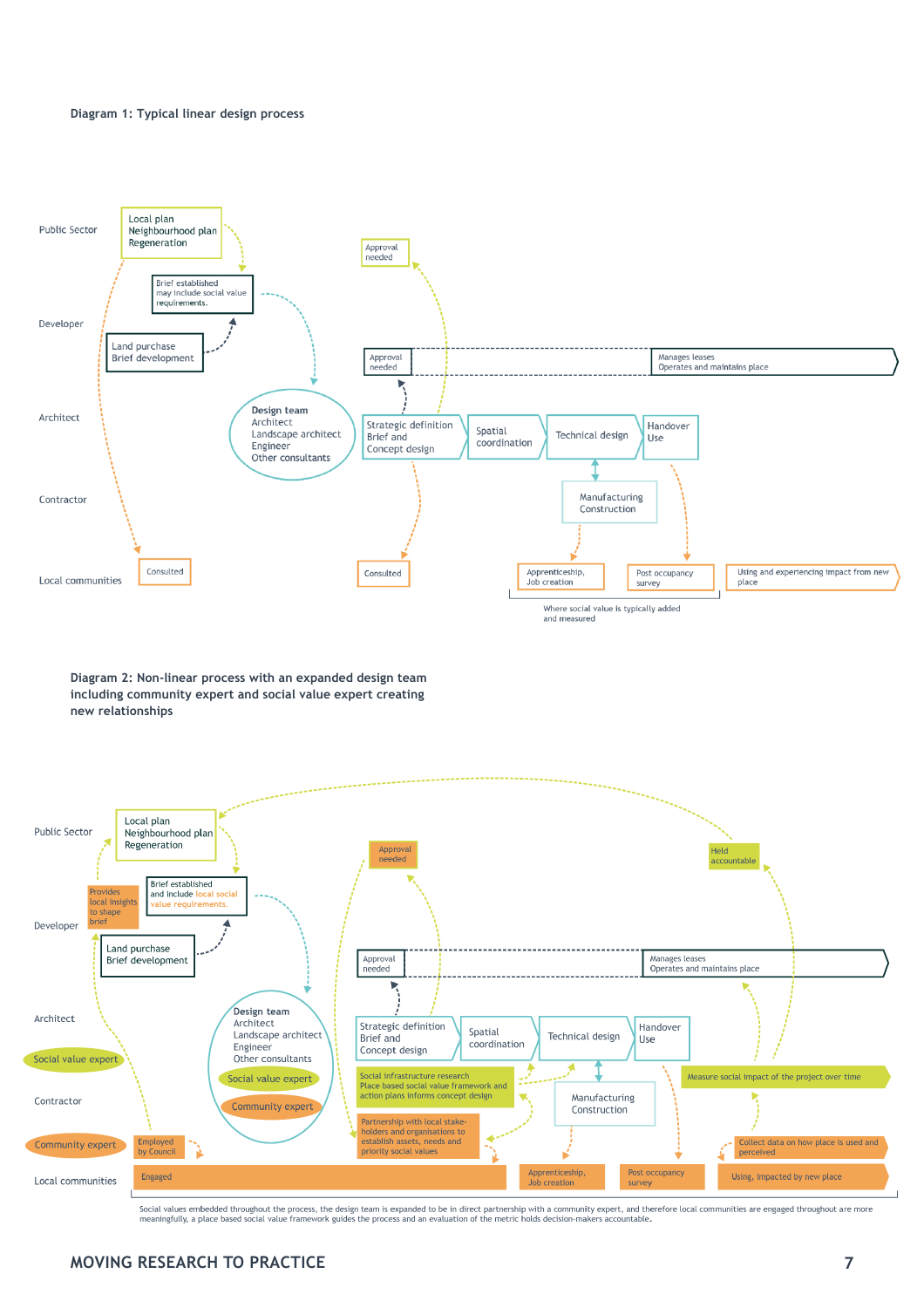#### **Diagram 1: Typical linear design process**



**Diagram 2: Non-linear process with an expanded design team including community expert and social value expert creating new relationships**



Social values embedded throughout the process, the design team is expanded to be in direct partnership with a community expert, and therefore local communities are engaged throughout are more meaningfully, a place based social value framework guides the process and an evaluation of the metric holds decision-makers accountable